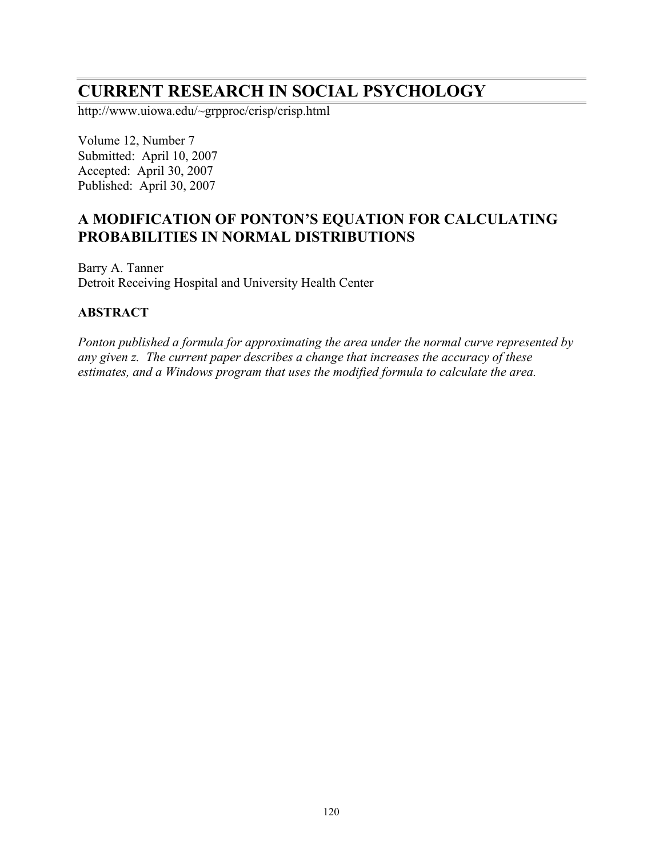# **CURRENT RESEARCH IN SOCIAL PSYCHOLOGY**

http://www.uiowa.edu/~grpproc/crisp/crisp.html

Volume 12, Number 7 Submitted: April 10, 2007 Accepted: April 30, 2007 Published: April 30, 2007

# **A MODIFICATION OF PONTON'S EQUATION FOR CALCULATING PROBABILITIES IN NORMAL DISTRIBUTIONS**

Barry A. Tanner Detroit Receiving Hospital and University Health Center

#### **ABSTRACT**

*Ponton published a formula for approximating the area under the normal curve represented by any given z. The current paper describes a change that increases the accuracy of these estimates, and a Windows program that uses the modified formula to calculate the area.*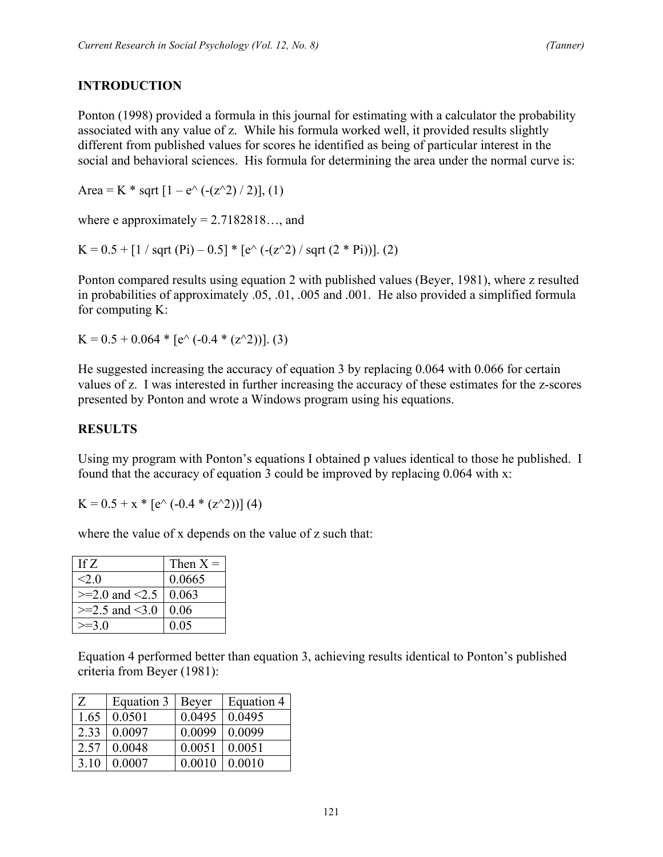## **INTRODUCTION**

Ponton (1998) provided a formula in this journal for estimating with a calculator the probability associated with any value of z. While his formula worked well, it provided results slightly different from published values for scores he identified as being of particular interest in the social and behavioral sciences. His formula for determining the area under the normal curve is:

Area = K  $*$  sqrt  $[1 - e^{\lambda} (-(z^2)/2)]$ , (1)

where e approximately  $= 2.7182818...$ , and

K =  $0.5 + [1 / \sqrt{(Pi)} - 0.5] * [e^{\lambda} (-(\sqrt{2}) / \sqrt{(2 *Pi)})].$  (2)

Ponton compared results using equation 2 with published values (Beyer, 1981), where z resulted in probabilities of approximately .05, .01, .005 and .001. He also provided a simplified formula for computing K:

 $K = 0.5 + 0.064 * [e^{\lambda} (-0.4 * (z^{\lambda}2))].$  (3)

He suggested increasing the accuracy of equation 3 by replacing 0.064 with 0.066 for certain values of z. I was interested in further increasing the accuracy of these estimates for the z-scores presented by Ponton and wrote a Windows program using his equations.

#### **RESULTS**

Using my program with Ponton's equations I obtained p values identical to those he published. I found that the accuracy of equation 3 could be improved by replacing 0.064 with x:

 $K = 0.5 + x * [e^{\wedge} (-0.4 * (z^{\wedge}2))]$  (4)

where the value of x depends on the value of z such that:

| If $Z$             | Then $X =$ |
|--------------------|------------|
| $<$ 20             | 0.0665     |
| $>=2.0$ and $<2.5$ | 0.063      |
| $>=2.5$ and $<3.0$ | 0.06       |
| $>=30$             | 0.05       |

Equation 4 performed better than equation 3, achieving results identical to Ponton's published criteria from Beyer (1981):

| Z    | Equation 3 | Beyer  | Equation 4 |
|------|------------|--------|------------|
| 1.65 | 0.0501     | 0.0495 | 0.0495     |
| 2.33 | 0.0097     | 0.0099 | 0.0099     |
| 2.57 | 0.0048     | 0.0051 | 0.0051     |
| 3.10 | 0.0007     | 0.0010 | 0.0010     |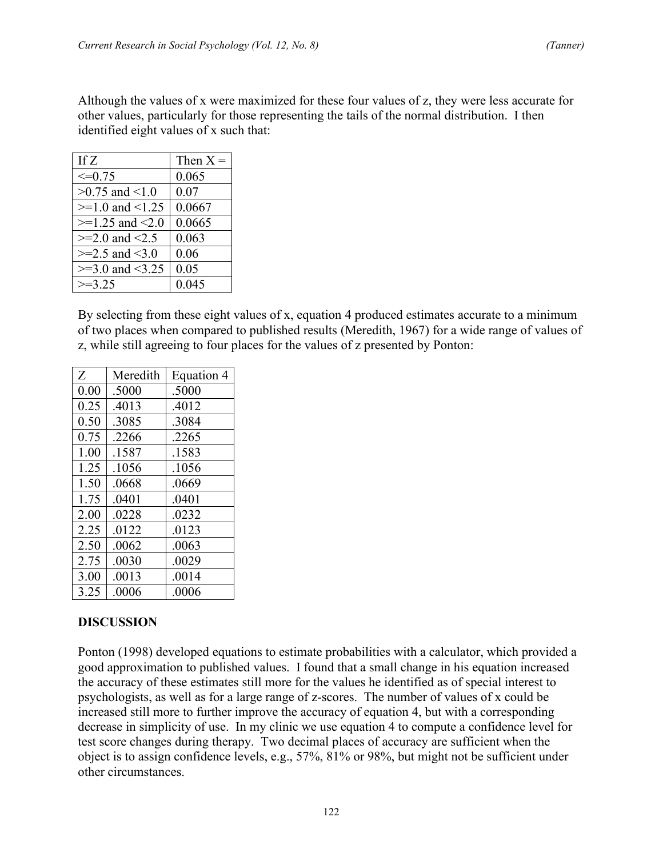Although the values of x were maximized for these four values of z, they were less accurate for other values, particularly for those representing the tails of the normal distribution. I then identified eight values of x such that:

| If $Z$                     | Then $X =$ |
|----------------------------|------------|
| $\leq=0.75$                | 0.065      |
| $>0.75$ and $< 1.0$        | 0.07       |
| $>=1.0$ and $<1.25$        | 0.0667     |
| $>=1.25$ and $<2.0$        | 0.0665     |
| $>= 2.0$ and $< 2.5$       | 0.063      |
| $>=2.5$ and $<3.0$         | 0.06       |
| $\geq 3.0$ and $\leq 3.25$ | 0.05       |
| $\geq$ 3 25                | 0.045      |

By selecting from these eight values of x, equation 4 produced estimates accurate to a minimum of two places when compared to published results (Meredith, 1967) for a wide range of values of z, while still agreeing to four places for the values of z presented by Ponton:

| Z    | Meredith | Equation 4 |
|------|----------|------------|
| 0.00 | .5000    | .5000      |
| 0.25 | .4013    | .4012      |
| 0.50 | .3085    | .3084      |
| 0.75 | .2266    | .2265      |
| 1.00 | .1587    | .1583      |
| 1.25 | .1056    | .1056      |
| 1.50 | .0668    | .0669      |
| 1.75 | .0401    | .0401      |
| 2.00 | .0228    | .0232      |
| 2.25 | .0122    | .0123      |
| 2.50 | .0062    | .0063      |
| 2.75 | .0030    | .0029      |
| 3.00 | .0013    | .0014      |
| 3.25 | .0006    | .0006      |

#### **DISCUSSION**

Ponton (1998) developed equations to estimate probabilities with a calculator, which provided a good approximation to published values. I found that a small change in his equation increased the accuracy of these estimates still more for the values he identified as of special interest to psychologists, as well as for a large range of z-scores. The number of values of x could be increased still more to further improve the accuracy of equation 4, but with a corresponding decrease in simplicity of use. In my clinic we use equation 4 to compute a confidence level for test score changes during therapy. Two decimal places of accuracy are sufficient when the object is to assign confidence levels, e.g., 57%, 81% or 98%, but might not be sufficient under other circumstances.